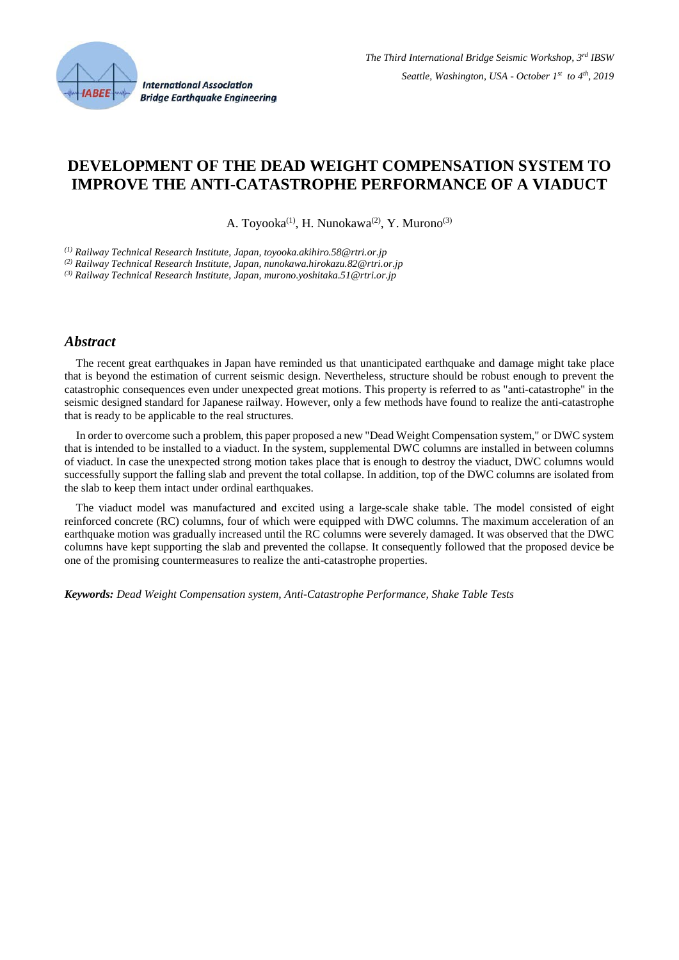

# **DEVELOPMENT OF THE DEAD WEIGHT COMPENSATION SYSTEM TO IMPROVE THE ANTI-CATASTROPHE PERFORMANCE OF A VIADUCT**

A. Toyooka<sup>(1)</sup>, H. Nunokawa<sup>(2)</sup>, Y. Murono<sup>(3)</sup>

*(1) Railway Technical Research Institute, Japan, toyooka.akihiro.58@rtri.or.jp*

*(2) Railway Technical Research Institute, Japan, nunokawa.hirokazu.82@rtri.or.jp*

*(3) Railway Technical Research Institute, Japan, murono.yoshitaka.51@rtri.or.jp*

#### *Abstract*

 The recent great earthquakes in Japan have reminded us that unanticipated earthquake and damage might take place that is beyond the estimation of current seismic design. Nevertheless, structure should be robust enough to prevent the catastrophic consequences even under unexpected great motions. This property is referred to as "anti-catastrophe" in the seismic designed standard for Japanese railway. However, only a few methods have found to realize the anti-catastrophe that is ready to be applicable to the real structures.

 In order to overcome such a problem, this paper proposed a new "Dead Weight Compensation system," or DWC system that is intended to be installed to a viaduct. In the system, supplemental DWC columns are installed in between columns of viaduct. In case the unexpected strong motion takes place that is enough to destroy the viaduct, DWC columns would successfully support the falling slab and prevent the total collapse. In addition, top of the DWC columns are isolated from the slab to keep them intact under ordinal earthquakes.

 The viaduct model was manufactured and excited using a large-scale shake table. The model consisted of eight reinforced concrete (RC) columns, four of which were equipped with DWC columns. The maximum acceleration of an earthquake motion was gradually increased until the RC columns were severely damaged. It was observed that the DWC columns have kept supporting the slab and prevented the collapse. It consequently followed that the proposed device be one of the promising countermeasures to realize the anti-catastrophe properties.

*Keywords: Dead Weight Compensation system, Anti-Catastrophe Performance, Shake Table Tests*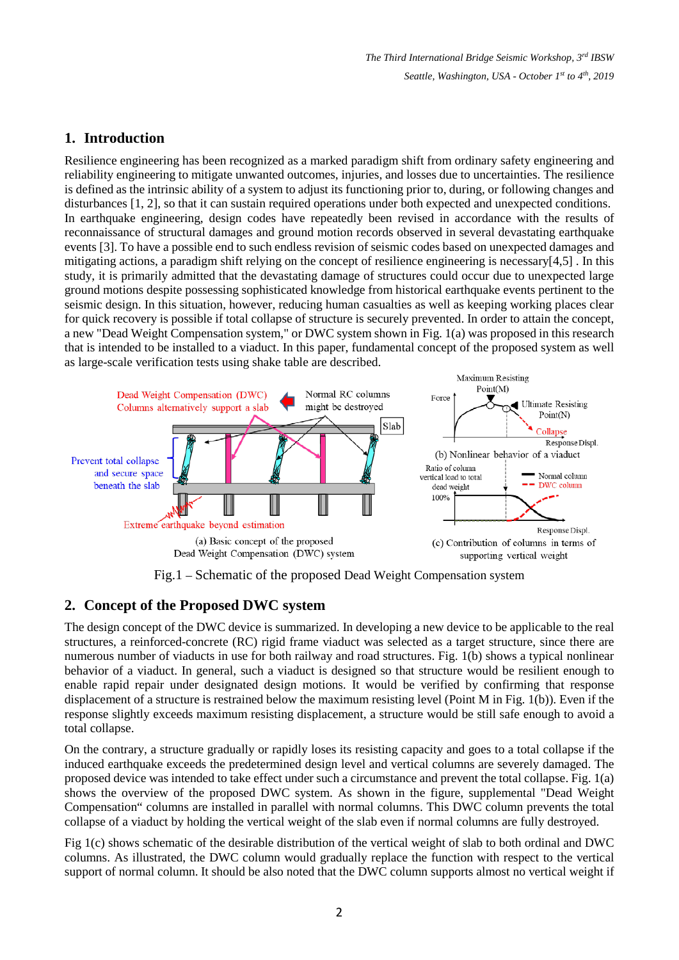*The Third International Bridge Seismic Workshop, 3rd IBSW Seattle, Washington, USA - October 1st to 4th, 2019*

### **1. Introduction**

Resilience engineering has been recognized as a marked paradigm shift from ordinary safety engineering and reliability engineering to mitigate unwanted outcomes, injuries, and losses due to uncertainties. The resilience is defined as the intrinsic ability of a system to adjust its functioning prior to, during, or following changes and disturbances [1, 2], so that it can sustain required operations under both expected and unexpected conditions. In earthquake engineering, design codes have repeatedly been revised in accordance with the results of reconnaissance of structural damages and ground motion records observed in several devastating earthquake events [3]. To have a possible end to such endless revision of seismic codes based on unexpected damages and mitigating actions, a paradigm shift relying on the concept of resilience engineering is necessary[4,5] . In this study, it is primarily admitted that the devastating damage of structures could occur due to unexpected large ground motions despite possessing sophisticated knowledge from historical earthquake events pertinent to the seismic design. In this situation, however, reducing human casualties as well as keeping working places clear for quick recovery is possible if total collapse of structure is securely prevented. In order to attain the concept, a new "Dead Weight Compensation system," or DWC system shown in Fig. 1(a) was proposed in this research that is intended to be installed to a viaduct. In this paper, fundamental concept of the proposed system as well as large-scale verification tests using shake table are described.



Fig.1 – Schematic of the proposed Dead Weight Compensation system

# **2. Concept of the Proposed DWC system**

The design concept of the DWC device is summarized. In developing a new device to be applicable to the real structures, a reinforced-concrete (RC) rigid frame viaduct was selected as a target structure, since there are numerous number of viaducts in use for both railway and road structures. Fig. 1(b) shows a typical nonlinear behavior of a viaduct. In general, such a viaduct is designed so that structure would be resilient enough to enable rapid repair under designated design motions. It would be verified by confirming that response displacement of a structure is restrained below the maximum resisting level (Point M in Fig. 1(b)). Even if the response slightly exceeds maximum resisting displacement, a structure would be still safe enough to avoid a total collapse.

On the contrary, a structure gradually or rapidly loses its resisting capacity and goes to a total collapse if the induced earthquake exceeds the predetermined design level and vertical columns are severely damaged. The proposed device was intended to take effect under such a circumstance and prevent the total collapse. Fig. 1(a) shows the overview of the proposed DWC system. As shown in the figure, supplemental "Dead Weight Compensation" columns are installed in parallel with normal columns. This DWC column prevents the total collapse of a viaduct by holding the vertical weight of the slab even if normal columns are fully destroyed.

Fig 1(c) shows schematic of the desirable distribution of the vertical weight of slab to both ordinal and DWC columns. As illustrated, the DWC column would gradually replace the function with respect to the vertical support of normal column. It should be also noted that the DWC column supports almost no vertical weight if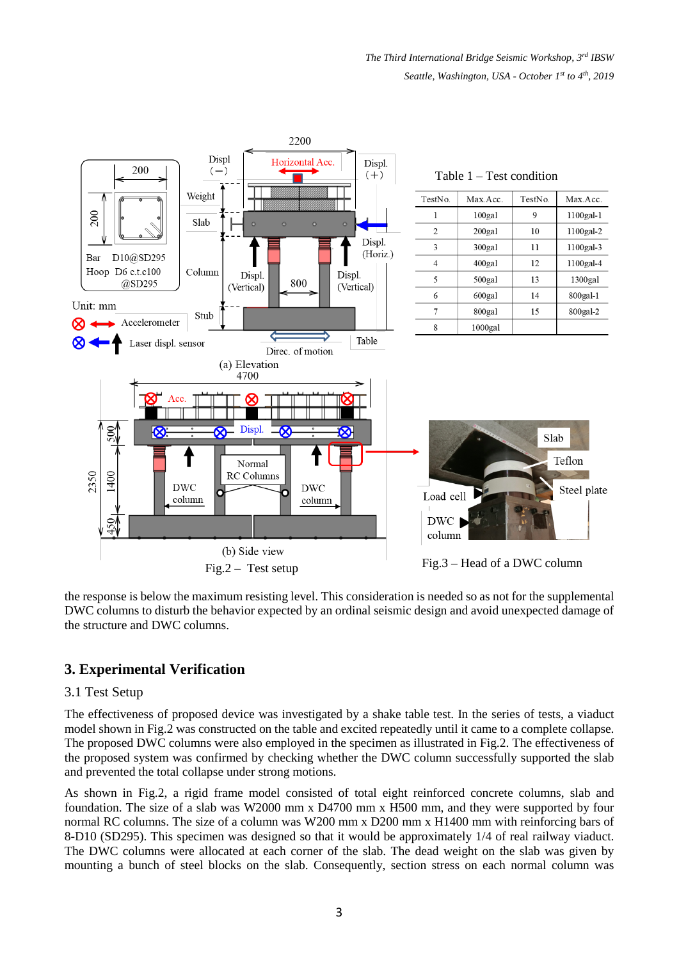*The Third International Bridge Seismic Workshop, 3rd IBSW Seattle, Washington, USA - October 1st to 4th, 2019*



the response is below the maximum resisting level. This consideration is needed so as not for the supplemental DWC columns to disturb the behavior expected by an ordinal seismic design and avoid unexpected damage of the structure and DWC columns.

# **3. Experimental Verification**

### 3.1 Test Setup

The effectiveness of proposed device was investigated by a shake table test. In the series of tests, a viaduct model shown in Fig.2 was constructed on the table and excited repeatedly until it came to a complete collapse. The proposed DWC columns were also employed in the specimen as illustrated in Fig.2. The effectiveness of the proposed system was confirmed by checking whether the DWC column successfully supported the slab and prevented the total collapse under strong motions.

As shown in Fig.2, a rigid frame model consisted of total eight reinforced concrete columns, slab and foundation. The size of a slab was W2000 mm x D4700 mm x H500 mm, and they were supported by four normal RC columns. The size of a column was W200 mm x D200 mm x H1400 mm with reinforcing bars of 8-D10 (SD295). This specimen was designed so that it would be approximately 1/4 of real railway viaduct. The DWC columns were allocated at each corner of the slab. The dead weight on the slab was given by mounting a bunch of steel blocks on the slab. Consequently, section stress on each normal column was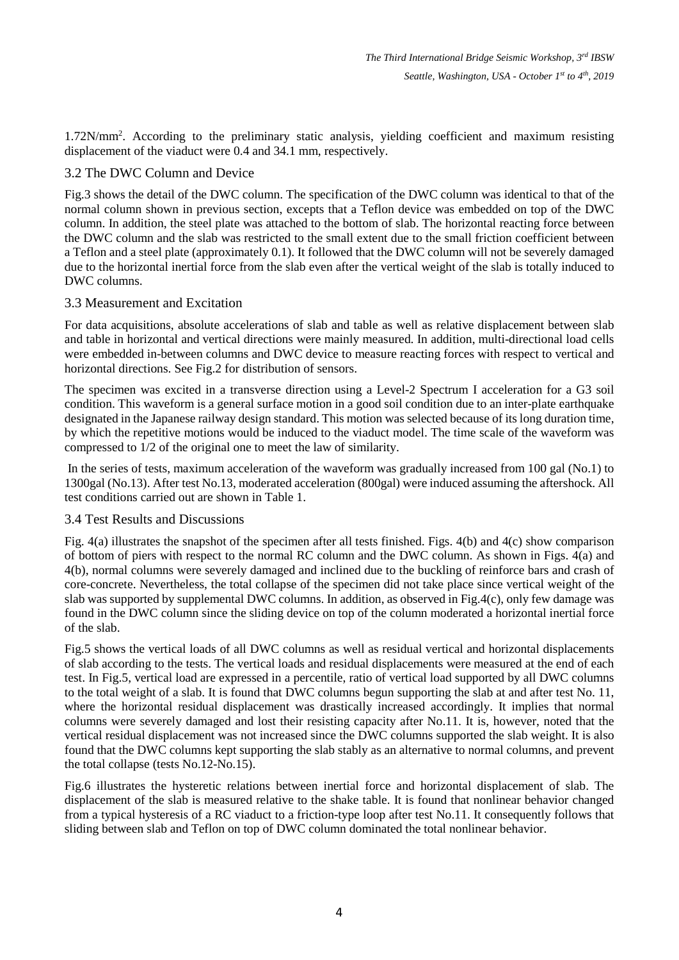1.72N/mm2 . According to the preliminary static analysis, yielding coefficient and maximum resisting displacement of the viaduct were 0.4 and 34.1 mm, respectively.

### 3.2 The DWC Column and Device

Fig.3 shows the detail of the DWC column. The specification of the DWC column was identical to that of the normal column shown in previous section, excepts that a Teflon device was embedded on top of the DWC column. In addition, the steel plate was attached to the bottom of slab. The horizontal reacting force between the DWC column and the slab was restricted to the small extent due to the small friction coefficient between a Teflon and a steel plate (approximately 0.1). It followed that the DWC column will not be severely damaged due to the horizontal inertial force from the slab even after the vertical weight of the slab is totally induced to DWC columns.

### 3.3 Measurement and Excitation

For data acquisitions, absolute accelerations of slab and table as well as relative displacement between slab and table in horizontal and vertical directions were mainly measured. In addition, multi-directional load cells were embedded in-between columns and DWC device to measure reacting forces with respect to vertical and horizontal directions. See Fig.2 for distribution of sensors.

The specimen was excited in a transverse direction using a Level-2 Spectrum I acceleration for a G3 soil condition. This waveform is a general surface motion in a good soil condition due to an inter-plate earthquake designated in the Japanese railway design standard. This motion was selected because of its long duration time, by which the repetitive motions would be induced to the viaduct model. The time scale of the waveform was compressed to 1/2 of the original one to meet the law of similarity.

In the series of tests, maximum acceleration of the waveform was gradually increased from 100 gal (No.1) to 1300gal (No.13). After test No.13, moderated acceleration (800gal) were induced assuming the aftershock. All test conditions carried out are shown in Table 1.

#### 3.4 Test Results and Discussions

Fig. 4(a) illustrates the snapshot of the specimen after all tests finished. Figs. 4(b) and 4(c) show comparison of bottom of piers with respect to the normal RC column and the DWC column. As shown in Figs. 4(a) and 4(b), normal columns were severely damaged and inclined due to the buckling of reinforce bars and crash of core-concrete. Nevertheless, the total collapse of the specimen did not take place since vertical weight of the slab was supported by supplemental DWC columns. In addition, as observed in Fig.4(c), only few damage was found in the DWC column since the sliding device on top of the column moderated a horizontal inertial force of the slab.

Fig.5 shows the vertical loads of all DWC columns as well as residual vertical and horizontal displacements of slab according to the tests. The vertical loads and residual displacements were measured at the end of each test. In Fig.5, vertical load are expressed in a percentile, ratio of vertical load supported by all DWC columns to the total weight of a slab. It is found that DWC columns begun supporting the slab at and after test No. 11, where the horizontal residual displacement was drastically increased accordingly. It implies that normal columns were severely damaged and lost their resisting capacity after No.11. It is, however, noted that the vertical residual displacement was not increased since the DWC columns supported the slab weight. It is also found that the DWC columns kept supporting the slab stably as an alternative to normal columns, and prevent the total collapse (tests No.12-No.15).

Fig.6 illustrates the hysteretic relations between inertial force and horizontal displacement of slab. The displacement of the slab is measured relative to the shake table. It is found that nonlinear behavior changed from a typical hysteresis of a RC viaduct to a friction-type loop after test No.11. It consequently follows that sliding between slab and Teflon on top of DWC column dominated the total nonlinear behavior.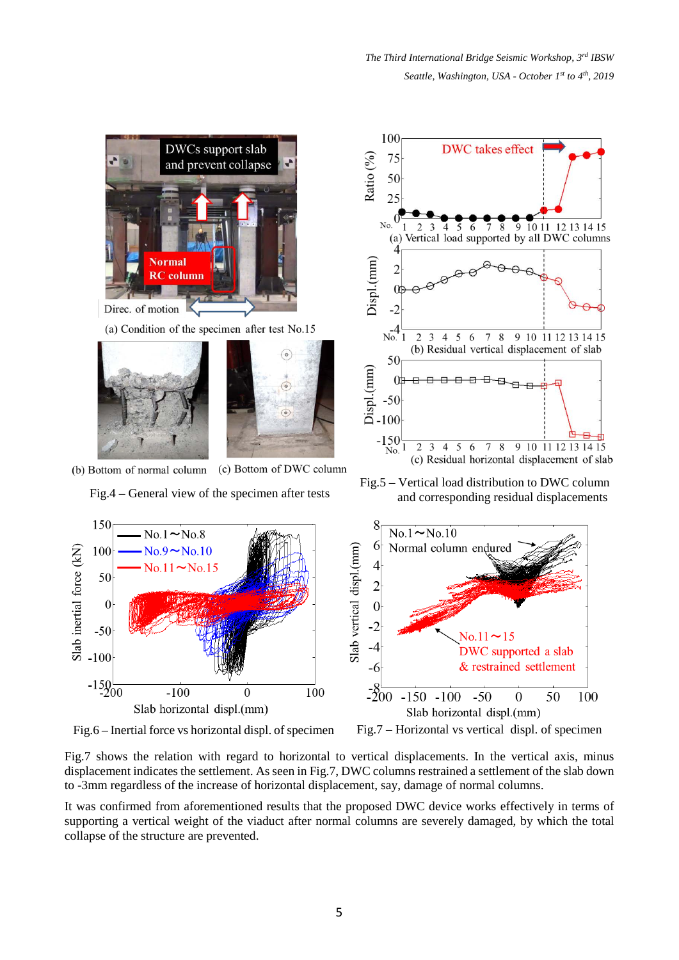

Fig.7 shows the relation with regard to horizontal to vertical displacements. In the vertical axis, minus displacement indicates the settlement. As seen in Fig.7, DWC columns restrained a settlement of the slab down to -3mm regardless of the increase of horizontal displacement, say, damage of normal columns.

It was confirmed from aforementioned results that the proposed DWC device works effectively in terms of supporting a vertical weight of the viaduct after normal columns are severely damaged, by which the total collapse of the structure are prevented.